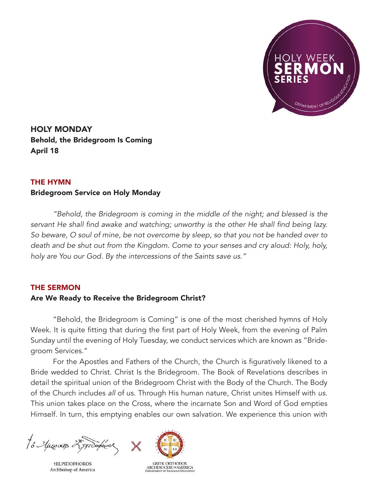

HOLY MONDAY Behold, the Bridegroom Is Coming April 18

## THE HYMN

## Bridegroom Service on Holy Monday

*"Behold, the Bridegroom is coming in the middle of the night; and blessed is the*  servant He shall find awake and watching; unworthy is the other He shall find being lazy. So beware, O soul of mine, be not overcome by sleep, so that you not be handed over to death and be shut out from the Kingdom. Come to your senses and cry aloud: Holy, holy, holy are You our God. By the intercessions of the Saints save us."

## THE SERMON

## Are We Ready to Receive the Bridegroom Christ?

"Behold, the Bridegroom is Coming" is one of the most cherished hymns of Holy Week. It is quite fitting that during the first part of Holy Week, from the evening of Palm Sunday until the evening of Holy Tuesday, we conduct services which are known as "Bridegroom Services."

For the Apostles and Fathers of the Church, the Church is figuratively likened to a Bride wedded to Christ. Christ Is the Bridegroom. The Book of Revelations describes in detail the spiritual union of the Bridegroom Christ with the Body of the Church. The Body of the Church includes *all* of us. Through His human nature, Christ unites Himself with us. This union takes place on the Cross, where the incarnate Son and Word of God empties Himself. In turn, this emptying enables our own salvation. We experience this union with

to Aproxis 25 proopodo

**†ELPIDOPHOROS** Archbishop of America